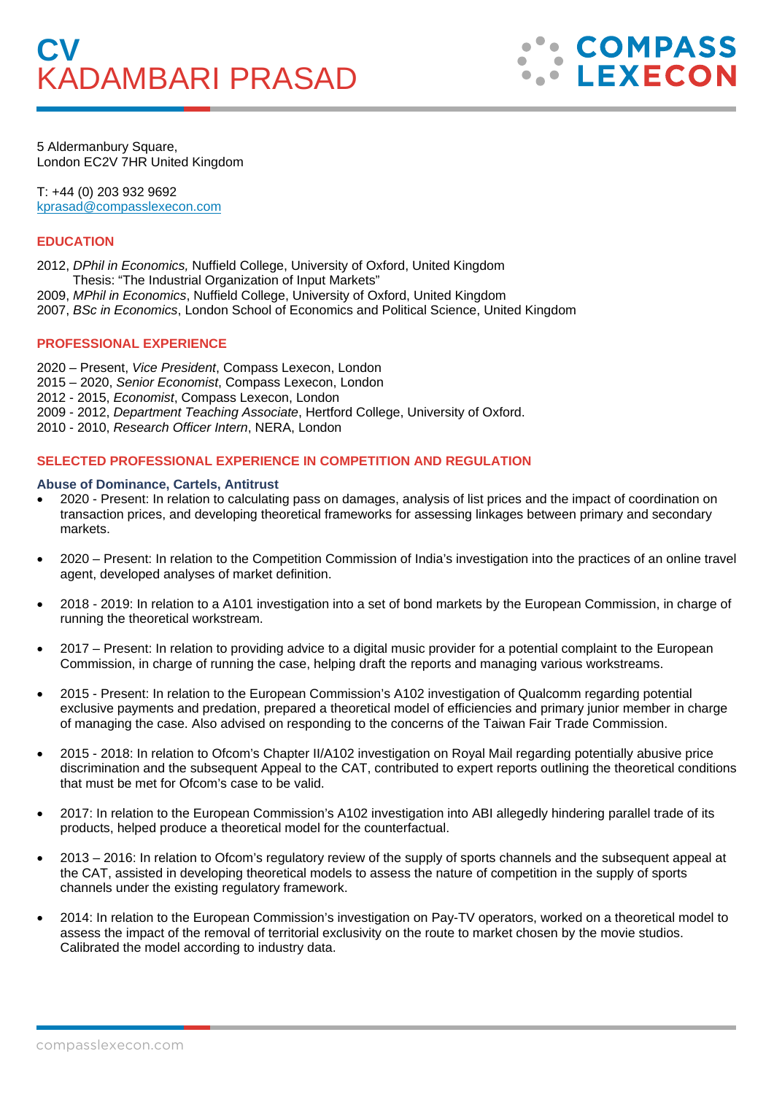

5 Aldermanbury Square, London EC2V 7HR United Kingdom

T: +44 (0) 203 932 9692 kprasad@compasslexecon.com

## **EDUCATION**

2012, *DPhil in Economics,* Nuffield College, University of Oxford, United Kingdom Thesis: "The Industrial Organization of Input Markets"

- 2009, *MPhil in Economics*, Nuffield College, University of Oxford, United Kingdom
- 2007, *BSc in Economics*, London School of Economics and Political Science, United Kingdom

### **PROFESSIONAL EXPERIENCE**

2020 – Present, *Vice President*, Compass Lexecon, London 2015 – 2020, *Senior Economist*, Compass Lexecon, London 2012 - 2015, *Economist*, Compass Lexecon, London 2009 - 2012, *Department Teaching Associate*, Hertford College, University of Oxford. 2010 - 2010, *Research Officer Intern*, NERA, London

## **SELECTED PROFESSIONAL EXPERIENCE IN COMPETITION AND REGULATION**

#### **Abuse of Dominance, Cartels, Antitrust**

- 2020 Present: In relation to calculating pass on damages, analysis of list prices and the impact of coordination on transaction prices, and developing theoretical frameworks for assessing linkages between primary and secondary markets.
- 2020 Present: In relation to the Competition Commission of India's investigation into the practices of an online travel agent, developed analyses of market definition.
- 2018 2019: In relation to a A101 investigation into a set of bond markets by the European Commission, in charge of running the theoretical workstream.
- 2017 Present: In relation to providing advice to a digital music provider for a potential complaint to the European Commission, in charge of running the case, helping draft the reports and managing various workstreams.
- 2015 Present: In relation to the European Commission's A102 investigation of Qualcomm regarding potential exclusive payments and predation, prepared a theoretical model of efficiencies and primary junior member in charge of managing the case. Also advised on responding to the concerns of the Taiwan Fair Trade Commission.
- 2015 2018: In relation to Ofcom's Chapter II/A102 investigation on Royal Mail regarding potentially abusive price discrimination and the subsequent Appeal to the CAT, contributed to expert reports outlining the theoretical conditions that must be met for Ofcom's case to be valid.
- 2017: In relation to the European Commission's A102 investigation into ABI allegedly hindering parallel trade of its products, helped produce a theoretical model for the counterfactual.
- 2013 2016: In relation to Ofcom's regulatory review of the supply of sports channels and the subsequent appeal at the CAT, assisted in developing theoretical models to assess the nature of competition in the supply of sports channels under the existing regulatory framework.
- 2014: In relation to the European Commission's investigation on Pay-TV operators, worked on a theoretical model to assess the impact of the removal of territorial exclusivity on the route to market chosen by the movie studios. Calibrated the model according to industry data.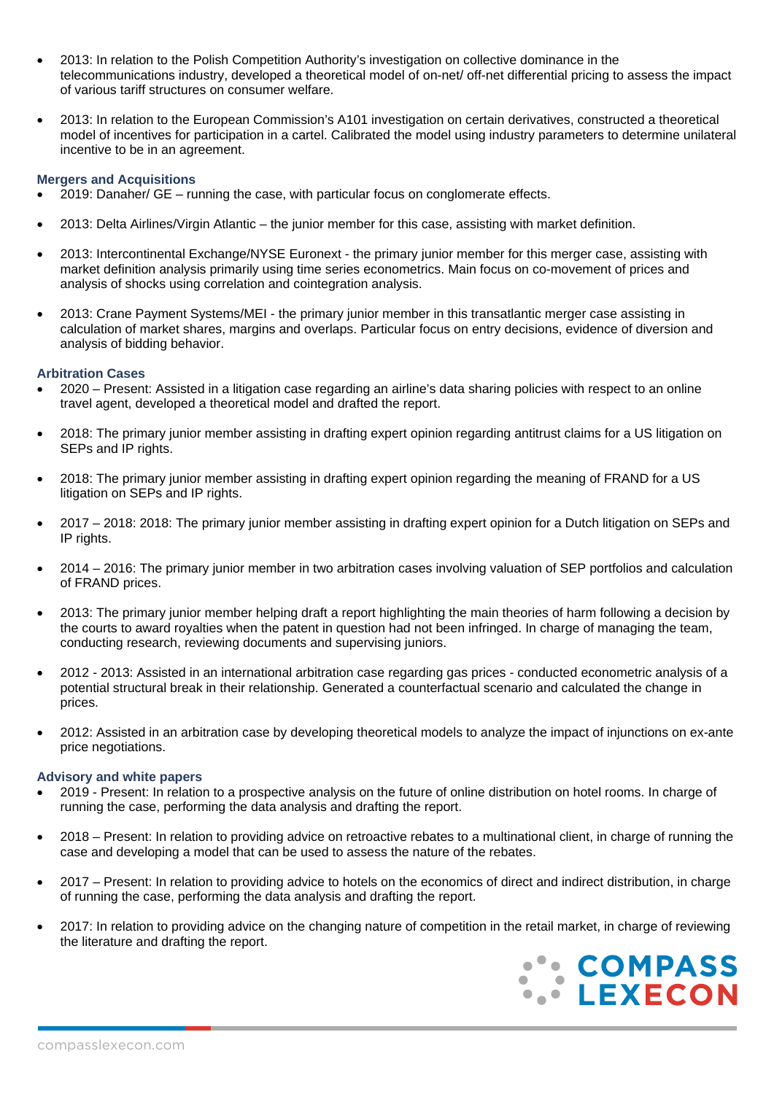- 2013: In relation to the Polish Competition Authority's investigation on collective dominance in the telecommunications industry, developed a theoretical model of on-net/ off-net differential pricing to assess the impact of various tariff structures on consumer welfare.
- 2013: In relation to the European Commission's A101 investigation on certain derivatives, constructed a theoretical model of incentives for participation in a cartel. Calibrated the model using industry parameters to determine unilateral incentive to be in an agreement.

### **Mergers and Acquisitions**

- 2019: Danaher/ GE running the case, with particular focus on conglomerate effects.
- 2013: Delta Airlines/Virgin Atlantic the junior member for this case, assisting with market definition.
- 2013: Intercontinental Exchange/NYSE Euronext the primary junior member for this merger case, assisting with market definition analysis primarily using time series econometrics. Main focus on co-movement of prices and analysis of shocks using correlation and cointegration analysis.
- 2013: Crane Payment Systems/MEI the primary junior member in this transatlantic merger case assisting in calculation of market shares, margins and overlaps. Particular focus on entry decisions, evidence of diversion and analysis of bidding behavior.

### **Arbitration Cases**

- 2020 Present: Assisted in a litigation case regarding an airline's data sharing policies with respect to an online travel agent, developed a theoretical model and drafted the report.
- 2018: The primary junior member assisting in drafting expert opinion regarding antitrust claims for a US litigation on SEPs and IP rights.
- 2018: The primary junior member assisting in drafting expert opinion regarding the meaning of FRAND for a US litigation on SEPs and IP rights.
- 2017 2018: 2018: The primary junior member assisting in drafting expert opinion for a Dutch litigation on SEPs and IP rights.
- 2014 2016: The primary junior member in two arbitration cases involving valuation of SEP portfolios and calculation of FRAND prices.
- 2013: The primary junior member helping draft a report highlighting the main theories of harm following a decision by the courts to award royalties when the patent in question had not been infringed. In charge of managing the team, conducting research, reviewing documents and supervising juniors.
- 2012 2013: Assisted in an international arbitration case regarding gas prices conducted econometric analysis of a potential structural break in their relationship. Generated a counterfactual scenario and calculated the change in prices.
- 2012: Assisted in an arbitration case by developing theoretical models to analyze the impact of injunctions on ex-ante price negotiations.

### **Advisory and white papers**

- 2019 Present: In relation to a prospective analysis on the future of online distribution on hotel rooms. In charge of running the case, performing the data analysis and drafting the report.
- 2018 Present: In relation to providing advice on retroactive rebates to a multinational client, in charge of running the case and developing a model that can be used to assess the nature of the rebates.
- 2017 Present: In relation to providing advice to hotels on the economics of direct and indirect distribution, in charge of running the case, performing the data analysis and drafting the report.
- 2017: In relation to providing advice on the changing nature of competition in the retail market, in charge of reviewing the literature and drafting the report.